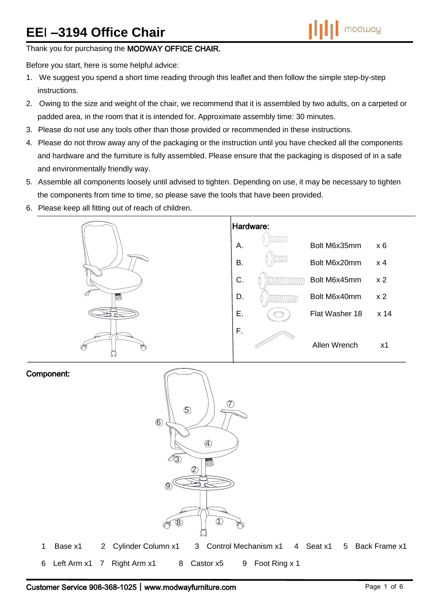# **EE**I **–3194 Office Chair**

# Thank you for purchasing the MODWAY OFFICE CHAIR.

Before you start, here is some helpful advice:

- 1. We suggest you spend a short time reading through this leaflet and then follow the simple step-by-step instructions.
- 2. Owing to the size and weight of the chair, we recommend that it is assembled by two adults, on a carpeted or padded area, in the room that it is intended for. Approximate assembly time: 30 minutes.
- 3. Please do not use any tools other than those provided or recommended in these instructions.
- 4. Please do not throw away any of the packaging or the instruction until you have checked all the components and hardware and the furniture is fully assembled. Please ensure that the packaging is disposed of in a safe and environmentally friendly way.
- 5. Assemble all components loosely until advised to tighten. Depending on use, it may be necessary to tighten the components from time to time, so please save the tools that have been provided.
- 6. Please keep all fitting out of reach of children.



#### Component:

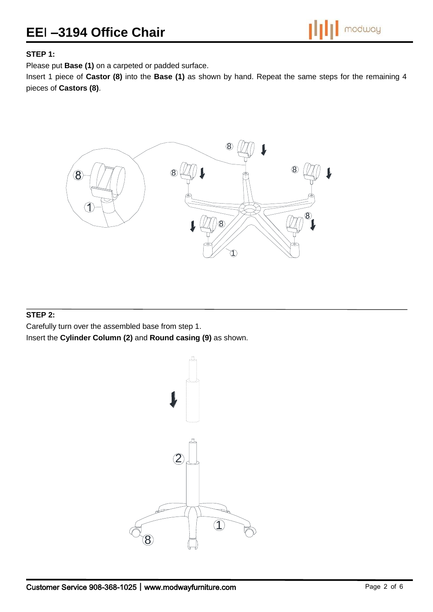# **EE**I **–3194 Office Chair**

# **STEP 1:**

Please put **Base (1)** on a carpeted or padded surface.

Insert 1 piece of **Castor (8)** into the **Base (1)** as shown by hand. Repeat the same steps for the remaining 4 pieces of **Castors (8)**.



### **STEP 2:**

Carefully turn over the assembled base from step 1.

Insert the **Cylinder Column (2)** and **Round casing (9)** as shown.

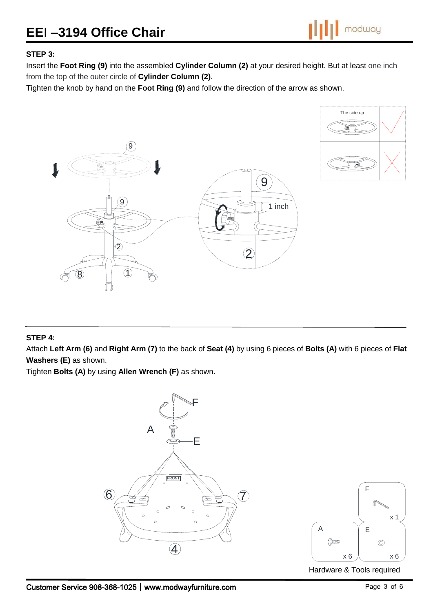# **EE**I **–3194 Office Chair**



### **STEP 3:**

Insert the **Foot Ring (9)** into the assembled **Cylinder Column (2)** at your desired height. But at least one inch from the top of the outer circle of **Cylinder Column (2)**.

Tighten the knob by hand on the **Foot Ring (9)** and follow the direction of the arrow as shown.





# **STEP 4:**

Attach **Left Arm (6)** and **Right Arm (7)** to the back of **Seat (4)** by using 6 pieces of **Bolts (A)** with 6 pieces of **Flat Washers (E)** as shown.

Tighten **Bolts (A)** by using **Allen Wrench (F)** as shown.

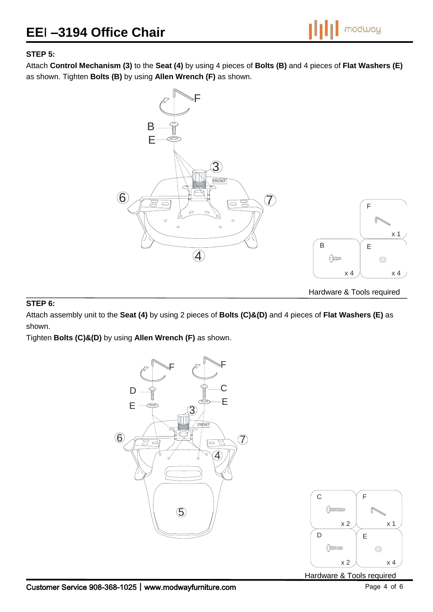

# **STEP 5:**

Attach **Control Mechanism (3)** to the **Seat (4)** by using 4 pieces of **Bolts (B)** and 4 pieces of **Flat Washers (E)** as shown. Tighten **Bolts (B)** by using **Allen Wrench (F)** as shown.



#### **STEP 6:**

Attach assembly unit to the **Seat (4)** by using 2 pieces of **Bolts (C)&(D)** and 4 pieces of **Flat Washers (E)** as shown.

Tighten **Bolts (C)&(D)** by using **Allen Wrench (F)** as shown.





Hardware & Tools required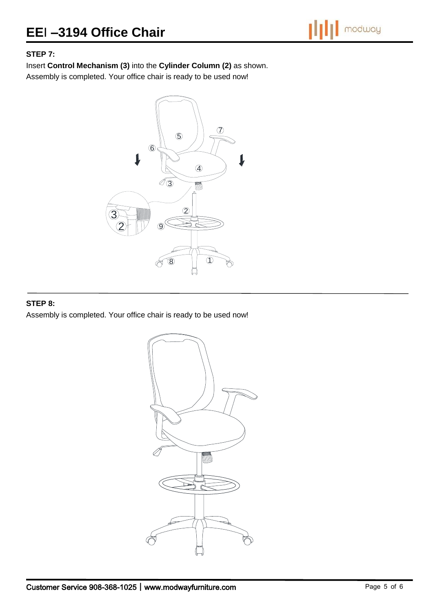

# **STEP 7:**

Insert **Control Mechanism (3)** into the **Cylinder Column (2)** as shown.

Assembly is completed. Your office chair is ready to be used now!



## **STEP 8:**

Assembly is completed. Your office chair is ready to be used now!